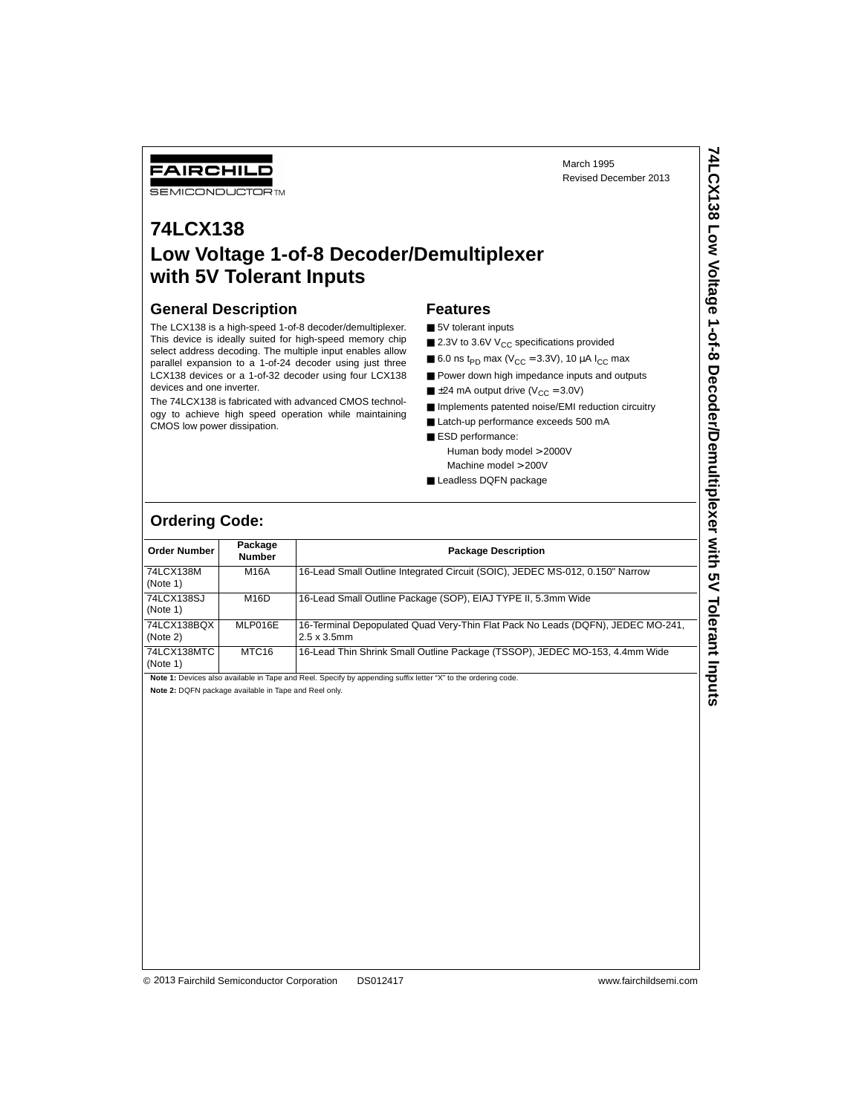March 1995 Revised December 2013

# FAIRCHILD

**SEMICONDUCTOR TM** 

## **74LCX138 Low Voltage 1-of-8 Decoder/Demultiplexer with 5V Tolerant Inputs**

#### **General Description**

The LCX138 is a high-speed 1-of-8 decoder/demultiplexer. This device is ideally suited for high-speed memory chip select address decoding. The multiple input enables allow parallel expansion to a 1-of-24 decoder using just three LCX138 devices or a 1-of-32 decoder using four LCX138 devices and one inverter.

The 74LCX138 is fabricated with advanced CMOS technology to achieve high speed operation while maintaining CMOS low power dissipation.

### **Features**

- 5V tolerant inputs
- 2.3V to 3.6V  $V_{CC}$  specifications provided
- 6.0 ns t<sub>PD</sub> max ( $V_{CC}$  = 3.3V), 10  $\mu$ A I<sub>CC</sub> max
- Power down high impedance inputs and outputs
- $\blacksquare$  ±24 mA output drive (V<sub>CC</sub> = 3.0V)
- Implements patented noise/EMI reduction circuitry
- Latch-up performance exceeds 500 mA
- ESD performance: Human body model > 2000V
- Machine model > 200V
- Leadless DQFN package

## **Ordering Code:**

| <b>Order Number</b>     | Package<br><b>Number</b> | <b>Package Description</b>                                                                             |
|-------------------------|--------------------------|--------------------------------------------------------------------------------------------------------|
| 74LCX138M<br>(Note 1)   | M16A                     | 16-Lead Small Outline Integrated Circuit (SOIC), JEDEC MS-012, 0.150" Narrow                           |
| 74LCX138SJ<br>(Note 1)  | M16D                     | 16-Lead Small Outline Package (SOP), EIAJ TYPE II, 5.3mm Wide                                          |
| 74LCX138BQX<br>(Note 2) | MLP016E                  | 16-Terminal Depopulated Quad Very-Thin Flat Pack No Leads (DQFN), JEDEC MO-241,<br>$2.5 \times 3.5$ mm |
| 74LCX138MTC<br>(Note 1) | MTC <sub>16</sub>        | 16-Lead Thin Shrink Small Outline Package (TSSOP), JEDEC MO-153, 4.4mm Wide                            |

Note 1: Devices also available in Tape and Reel. Specify by appending suffix letter "X" to the ordering code.

**Note 2:** DQFN package available in Tape and Reel only.

© 2004 Fairchild Semiconductor Corporation DS012417 www.fairchildsemi.com 2013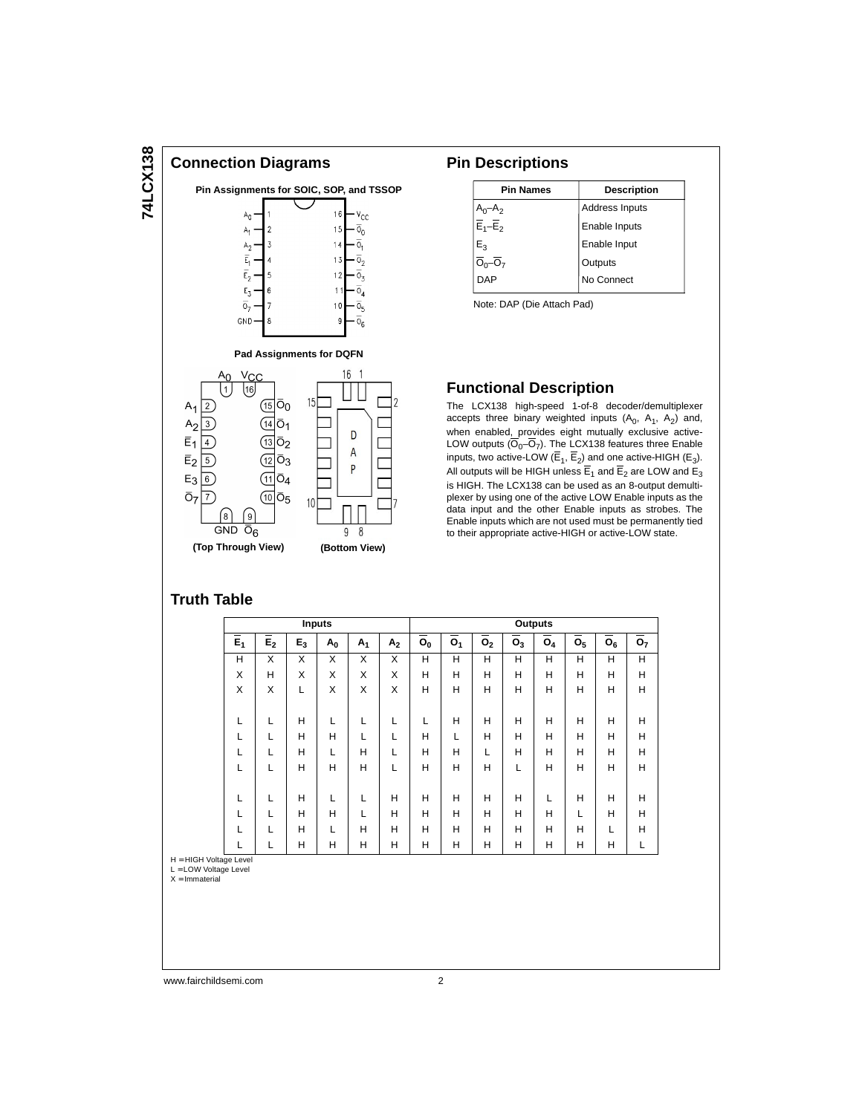# 74LCX138 **74LCX138**



#### **Pin Descriptions**

| Address Inputs |
|----------------|
|                |
| Enable Inputs  |
| Enable Input   |
| Outputs        |
| No Connect     |
|                |

Note: DAP (Die Attach Pad)

### **Functional Description**

The LCX138 high-speed 1-of-8 decoder/demultiplexer accepts three binary weighted inputs  $(A_0, A_1, A_2)$  and, when enabled, provides eight mutually exclusive active-LOW outputs  $(\overline{O}_0 - \overline{O}_7)$ . The LCX138 features three Enable inputs, two active-LOW ( $\overline{E}_1$ ,  $\overline{E}_2$ ) and one active-HIGH ( $E_3$ ). All outputs will be HIGH unless  $\overline{E}_1$  and  $\overline{E}_2$  are LOW and  $E_3$ is HIGH. The LCX138 can be used as an 8-output demultiplexer by using one of the active LOW Enable inputs as the data input and the other Enable inputs as strobes. The Enable inputs which are not used must be permanently tied to their appropriate active-HIGH or active-LOW state.

### **Truth Table**

 $\overline{O}_7$  $\overline{7}$ 

**(Top Through View)**

 $\left(8\right)$  $\left( 9\right)$ GND  $\bar{O}_6$ 

|          | <b>Inputs</b>    |                  |       |       | <b>Outputs</b> |                |                  |                  |                             |                |                  |                  |                  |                  |
|----------|------------------|------------------|-------|-------|----------------|----------------|------------------|------------------|-----------------------------|----------------|------------------|------------------|------------------|------------------|
|          | $\overline{E}_1$ | $\overline{E_2}$ | $E_3$ | $A_0$ | A <sub>1</sub> | A <sub>2</sub> | $\overline{o}_0$ | $\overline{o}_1$ | $\overline{\overline{o}_2}$ | O <sub>3</sub> | $\overline{O}_4$ | $\overline{o}_5$ | $\overline{O}_6$ | $\overline{o}_7$ |
|          | н                | X                | X     | X     | X              | X              | H                | н                | Н                           | н              | н                | н                | н                | Н                |
|          | X                | н                | X     | X     | X              | X              | H                | н                | Н                           | н              | Н                | Н                | н                | Н                |
|          | X                | X                |       | X     | X              | X              | H                | н                | H                           | н              | H                | H                | H                | Н                |
|          |                  |                  |       |       |                |                |                  |                  |                             |                |                  |                  |                  |                  |
|          |                  | L                | H     | L     |                |                |                  | н                | Н                           | н              | Н                | Н                | H                | Н                |
|          |                  | L                | н     | н     |                |                | H                | L                | Н                           | н              | Н                | Н                | H                | Н                |
|          |                  | L                | н     | L     | Н              |                | H                | н                | L                           | н              | H                | H                | H                | Н                |
|          |                  |                  | н     | н     | н              |                | н                | н                | н                           | L              | Н                | Н                | H                | н                |
|          |                  |                  |       |       |                |                |                  |                  |                             |                |                  |                  |                  |                  |
|          |                  | L                | н     | L     |                | н              | H                | н                | Н                           | н              | L                | Н                | H                | Н                |
|          |                  |                  | н     | H     |                | н              | H                | н                | H                           | н              | H                | L                | H                | Н                |
|          |                  | L                | н     | L     | Н              | н              | H                | н                | Н                           | н              | Н                | Н                | L                | н                |
| $\cdots$ |                  |                  | н     | н     | н              | н              | н                | н                | н                           | Н              | н                | Н                | Н                |                  |

**(Bottom View)**

 $\overline{9}$ 8

 $10<sup>1</sup>$ 

 $H = HIGH$  Voltag L = LOW Voltage Level

 $X =$ Immaterial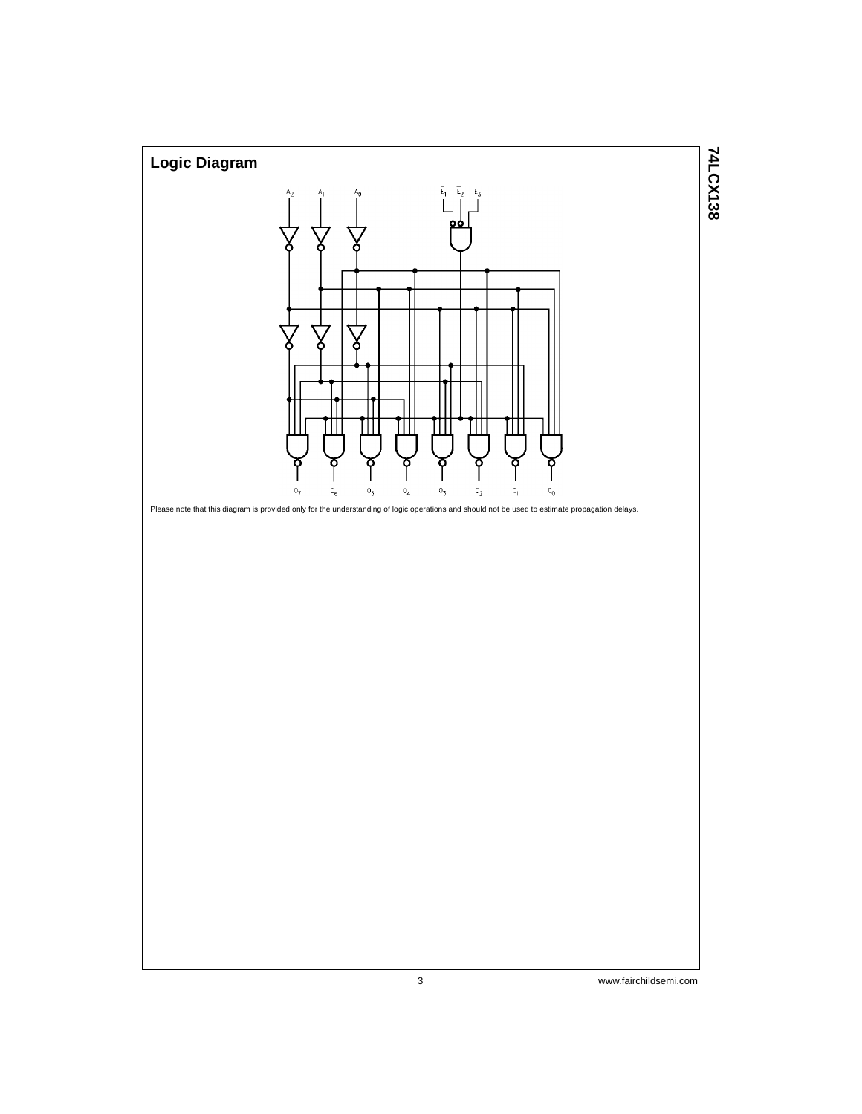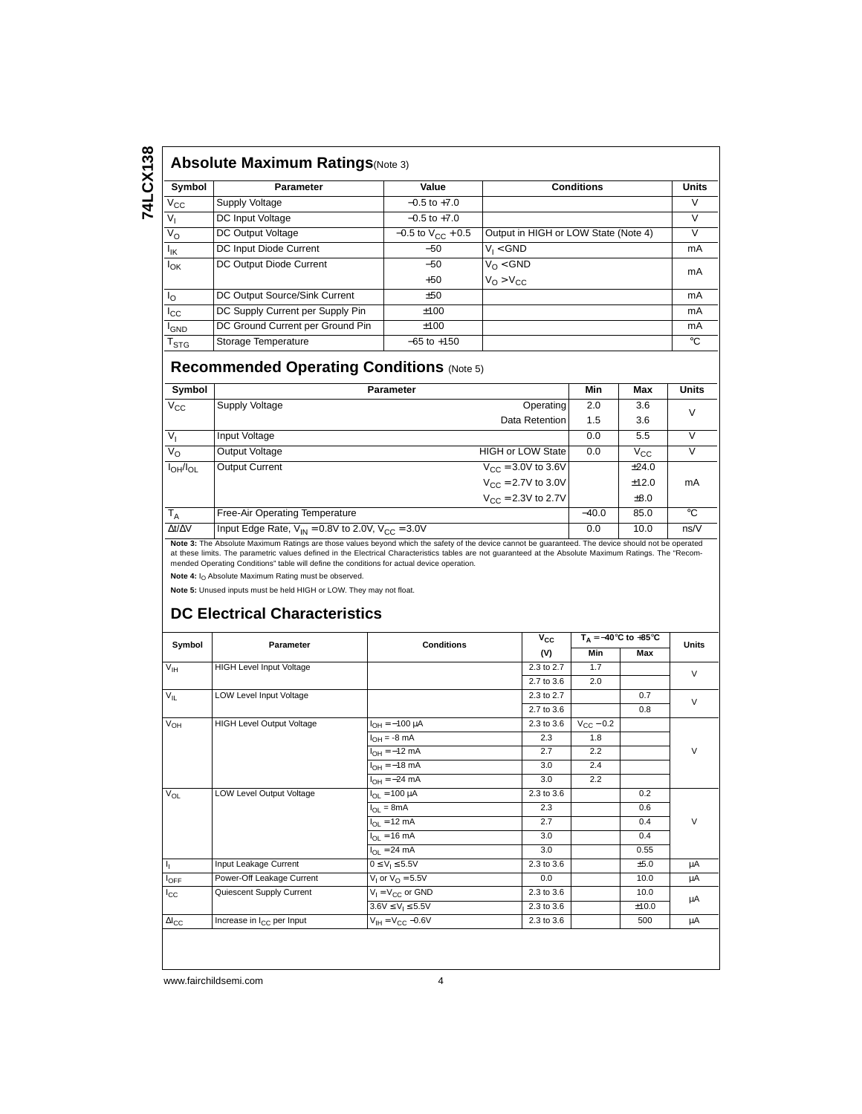# 74LCX138 **74LCX138**

### **Absolute Maximum Ratings**(Note 3)

| <b>ADSOILLE MAXIMUMI RAUNGS</b> (Note 3) |                                  |                          |                                      |              |  |  |  |  |  |
|------------------------------------------|----------------------------------|--------------------------|--------------------------------------|--------------|--|--|--|--|--|
| Symbol                                   | <b>Parameter</b>                 | Value                    | <b>Conditions</b>                    | <b>Units</b> |  |  |  |  |  |
| $V_{\rm CC}$                             | Supply Voltage                   | $-0.5$ to $+7.0$         |                                      | V            |  |  |  |  |  |
| $V_{\rm I}$                              | DC Input Voltage                 | $-0.5$ to $+7.0$         |                                      | V            |  |  |  |  |  |
| $V_{\rm O}$                              | DC Output Voltage                | $-0.5$ to $V_{CC}$ + 0.5 | Output in HIGH or LOW State (Note 4) | V            |  |  |  |  |  |
| $I_{IK}$                                 | DC Input Diode Current           | $-50$                    | $V_1 < GND$                          | mA           |  |  |  |  |  |
| $I_{OK}$                                 | DC Output Diode Current          | $-50$                    | $V_O < GND$                          | mA           |  |  |  |  |  |
|                                          |                                  | $+50$                    | $V_O > V_{CC}$                       |              |  |  |  |  |  |
| $I_{\Omega}$                             | DC Output Source/Sink Current    | ±50                      |                                      | mA           |  |  |  |  |  |
| $I_{\rm CC}$                             | DC Supply Current per Supply Pin | ±100                     |                                      | mA           |  |  |  |  |  |
| <sup>I</sup> GND                         | DC Ground Current per Ground Pin | ±100                     |                                      | mA           |  |  |  |  |  |
| $\mathsf{T}_{\text{STG}}$                | Storage Temperature              | $-65$ to $+150$          |                                      | $^{\circ}$ C |  |  |  |  |  |

## **Recommended Operating Conditions** (Note 5)

| Symbol              | <b>Parameter</b>                                         |                            | Min     | Max          | <b>Units</b> |
|---------------------|----------------------------------------------------------|----------------------------|---------|--------------|--------------|
| $V_{\text{CC}}$     | Supply Voltage                                           | Operating                  | 2.0     | 3.6          | V            |
|                     |                                                          | Data Retention             | 1.5     | 3.6          |              |
| $V_{I}$             | Input Voltage                                            |                            | 0.0     | 5.5          |              |
| $V_{\rm O}$         | Output Voltage                                           | <b>HIGH or LOW State  </b> | 0.0     | $V_{\rm CC}$ |              |
| $I_{OH}/I_{OL}$     | <b>Output Current</b>                                    | $V_{CC} = 3.0V$ to 3.6V    |         | ±24.0        |              |
|                     |                                                          | $V_{CC} = 2.7V$ to 3.0V    |         | ±12.0        | mA           |
|                     |                                                          | $V_{CC} = 2.3V$ to 2.7V    |         | $\pm 8.0$    |              |
| $T_A$               | Free-Air Operating Temperature                           |                            | $-40.0$ | 85.0         | °€           |
| $\Delta t/\Delta V$ | Input Edge Rate, $V_{IN} = 0.8V$ to 2.0V, $V_{C} = 3.0V$ |                            | 0.0     | 10.0         | ns/V         |

**Note 3:** The Absolute Maximum Ratings are those values beyond which the safety of the device cannot be guaranteed. The device should not be operated<br>at these limits. The parametric values defined in the Electrical Charact

mended Operating Conditions" table will define the conditions for actual device operation.

Note 4: I<sub>O</sub> Absolute Maximum Rating must be observed.

**Note 5:** Unused inputs must be held HIGH or LOW. They may not float.

## **DC Electrical Characteristics**

| Symbol           | Parameter                             | <b>Conditions</b>                     | $V_{\rm CC}$ | $T_A = -40$ °C to +85°C |       | <b>Units</b> |
|------------------|---------------------------------------|---------------------------------------|--------------|-------------------------|-------|--------------|
|                  |                                       |                                       | (V)          | Min                     | Max   |              |
| $V_{\text{IH}}$  | <b>HIGH Level Input Voltage</b>       |                                       | 2.3 to 2.7   | 1.7                     |       | $\vee$       |
|                  |                                       |                                       | 2.7 to 3.6   | 2.0                     |       |              |
| $V_{\parallel}$  | LOW Level Input Voltage               |                                       | 2.3 to 2.7   |                         | 0.7   | $\vee$       |
|                  |                                       |                                       | 2.7 to 3.6   |                         | 0.8   |              |
| $V_{OH}$         | <b>HIGH Level Output Voltage</b>      | $I_{OH} = -100 \mu A$                 | 2.3 to 3.6   | $V_{\rm CC}$ – 0.2      |       |              |
|                  |                                       | $I_{OH} = -8$ mA                      | 2.3          | 1.8                     |       |              |
|                  |                                       | $I_{OH} = -12$ mA                     | 2.7          | 2.2                     |       | $\vee$       |
|                  |                                       | $I_{OH} = -18$ mA                     | 3.0          | 2.4                     |       |              |
|                  |                                       | $I_{OH} = -24$ mA                     | 3.0          | 2.2                     |       |              |
| $V_{OL}$         | LOW Level Output Voltage              | $I_{OL} = 100 \mu A$                  | 2.3 to 3.6   |                         | 0.2   |              |
|                  |                                       | $I_{OL}$ = 8mA                        | 2.3          |                         | 0.6   | V            |
|                  |                                       | $I_{OL}$ = 12 mA                      | 2.7          |                         | 0.4   |              |
|                  |                                       | $I_{\Omega I} = 16 \text{ mA}$        | 3.0          |                         | 0.4   |              |
|                  |                                       | $I_{\text{OI}} = 24 \text{ mA}$       | 3.0          |                         | 0.55  |              |
| Ij.              | Input Leakage Current                 | $0 \le V_1 \le 5.5V$                  | 2.3 to 3.6   |                         | ±5.0  | μA           |
| $I_{\text{OFF}}$ | Power-Off Leakage Current             | V <sub>1</sub> or $V_{\Omega} = 5.5V$ | 0.0          |                         | 10.0  | μA           |
| $I_{\rm CC}$     | Quiescent Supply Current              | $V_1 = V_{CC}$ or GND                 | 2.3 to 3.6   |                         | 10.0  |              |
|                  |                                       | $3.6V \leq V_1 \leq 5.5V$             | 2.3 to 3.6   |                         | ±10.0 | μA           |
| $\Delta I_{CC}$  | Increase in I <sub>CC</sub> per Input | $V_{IH} = V_{C} - 0.6V$               | 2.3 to 3.6   |                         | 500   | μA           |
|                  |                                       |                                       |              |                         |       |              |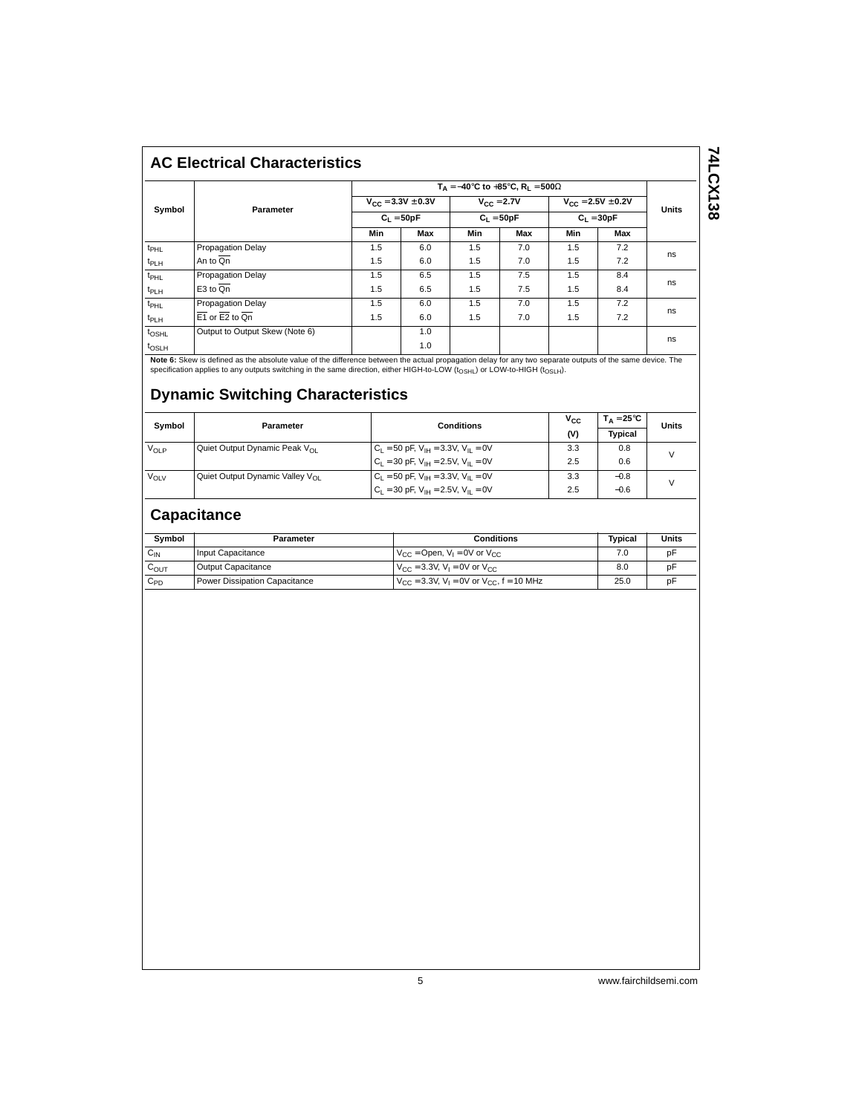## **AC Electrical Characteristics**

|                   |                                |     | $T_A = -40^{\circ}C$ to $+85^{\circ}C$ , $R_1 = 500\Omega$ |     |                                |     |                                          |    |  |
|-------------------|--------------------------------|-----|------------------------------------------------------------|-----|--------------------------------|-----|------------------------------------------|----|--|
|                   | Parameter                      |     | $V_{CC} = 3.3V \pm 0.3V$<br>$C_1 = 50pF$                   |     | $V_{C} = 2.7V$<br>$C_1 = 50pF$ |     | $V_{CC} = 2.5V \pm 0.2V$<br>$C_1 = 30pF$ |    |  |
| Symbol            |                                |     |                                                            |     |                                |     |                                          |    |  |
|                   |                                | Min | Max                                                        | Min | Max                            | Min | Max                                      |    |  |
| t <sub>PHL</sub>  | <b>Propagation Delay</b>       | 1.5 | 6.0                                                        | 1.5 | 7.0                            | 1.5 | 7.2                                      |    |  |
| t <sub>PLH</sub>  | An to Qn                       | 1.5 | 6.0                                                        | 1.5 | 7.0                            | 1.5 | 7.2                                      | ns |  |
| $t_{\text{PHL}}$  | <b>Propagation Delay</b>       | 1.5 | 6.5                                                        | 1.5 | 7.5                            | 1.5 | 8.4                                      |    |  |
| t <sub>PLH</sub>  | E3 to Qn                       | 1.5 | 6.5                                                        | 1.5 | 7.5                            | 1.5 | 8.4                                      | ns |  |
| $t_{\text{PHL}}$  | <b>Propagation Delay</b>       | 1.5 | 6.0                                                        | 1.5 | 7.0                            | 1.5 | 7.2                                      |    |  |
| t <sub>PLH</sub>  | $E1$ or $E2$ to $Qn$           | 1.5 | 6.0                                                        | 1.5 | 7.0                            | 1.5 | 7.2                                      | ns |  |
| t <sub>OSHL</sub> | Output to Output Skew (Note 6) |     | 1.0                                                        |     |                                |     |                                          |    |  |
| t <sub>OSLH</sub> |                                |     | 1.0                                                        |     |                                |     |                                          | ns |  |

**Note 6:** Skew is defined as the absolute value of the difference between the actual propagation delay for any two separate outputs of the same device. The<br>specification applies to any outputs switching in the same directi

### **Dynamic Switching Characteristics**

| Symbol           | Parameter                                   | <b>Conditions</b>                              | $V_{CC}$ | $T_A = 25^{\circ}C$ | Units         |
|------------------|---------------------------------------------|------------------------------------------------|----------|---------------------|---------------|
|                  |                                             |                                                | (V)      | Tvpical             |               |
| V <sub>OLP</sub> | Quiet Output Dynamic Peak V <sub>OL</sub>   | $C_L = 50$ pF, $V_{IH} = 3.3V$ , $V_{IL} = 0V$ | 3.3      | 0.8                 | $\mathcal{U}$ |
|                  |                                             | $C_1 = 30$ pF, $V_{1H} = 2.5V$ , $V_{1I} = 0V$ | 2.5      | 0.6                 |               |
| V <sub>OLV</sub> | Quiet Output Dynamic Valley V <sub>OL</sub> | $C_1 = 50$ pF, $V_{1H} = 3.3V$ , $V_{1I} = 0V$ | 3.3      | $-0.8$              | $\mathcal{U}$ |
|                  |                                             | $C_1 = 30$ pF, $V_{1H} = 2.5V$ , $V_{1I} = 0V$ | 2.5      | $-0.6$              |               |

## **Capacitance**

| Symbol          | Parameter                     | <b>Conditions</b>                                                    | Typical | Units |
|-----------------|-------------------------------|----------------------------------------------------------------------|---------|-------|
| С <sub>IN</sub> | Input Capacitance             | $V_{CC}$ = Open, $V_1$ = 0V or $V_{CC}$                              |         | pF    |
| COUT            | Output Capacitance            | $V_{\text{CC}} = 3.3V$ , $V_{\text{I}} = 0V$ or $V_{\text{CC}}$      | 8.0     | pF    |
| ∪PD             | Power Dissipation Capacitance | $V_{CC}$ = 3.3V, V <sub>1</sub> = 0V or V <sub>CC</sub> , f = 10 MHz | 25.0    | рF    |

**74LCX138**

74LCX138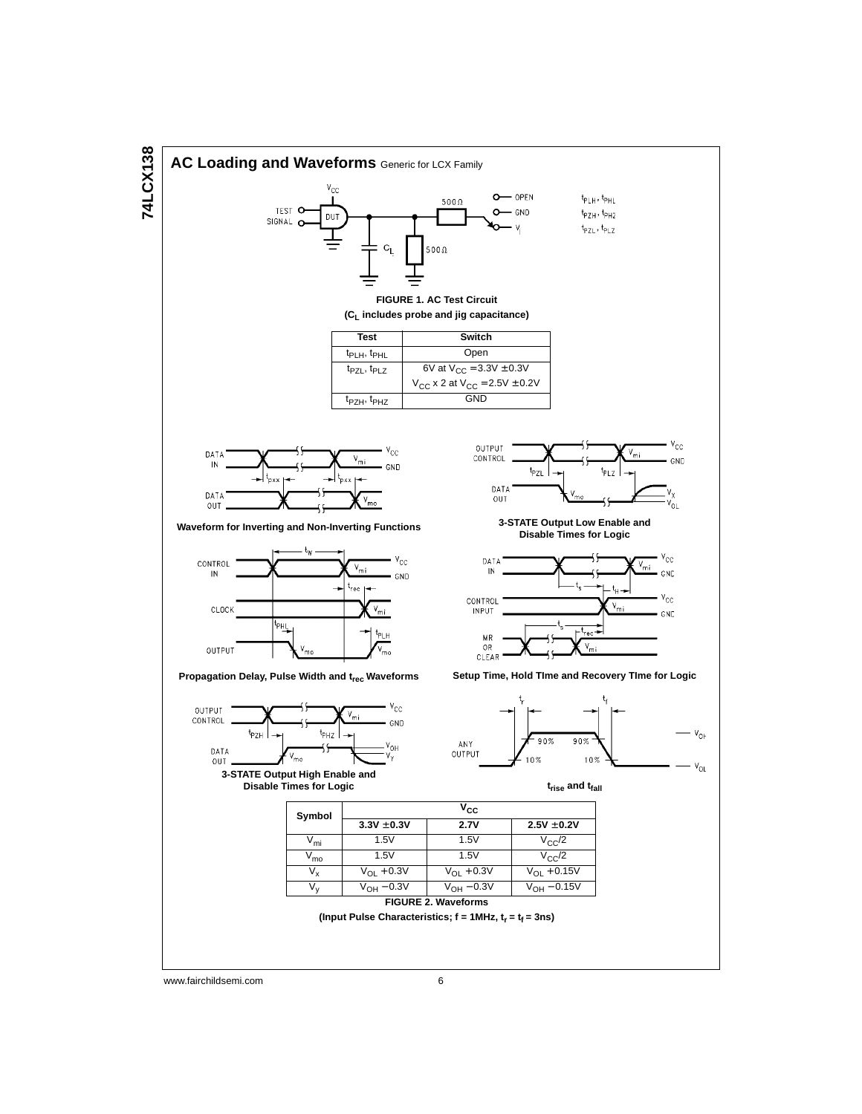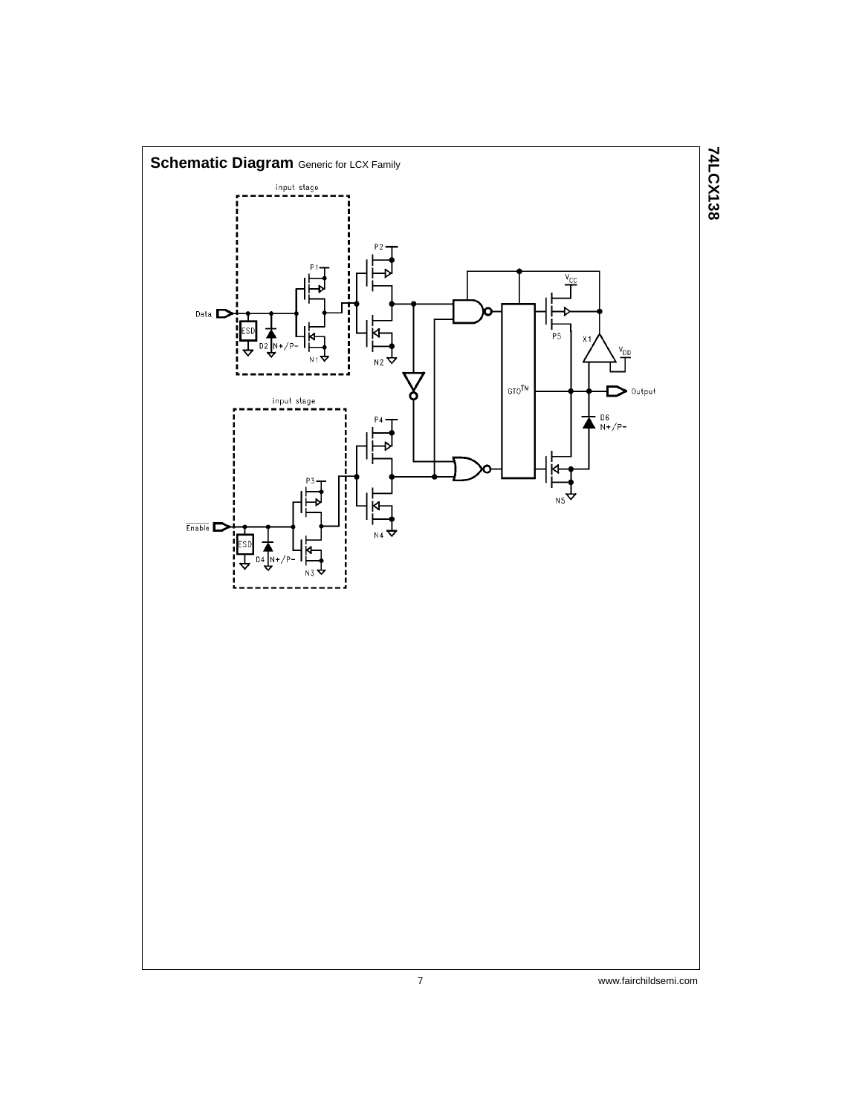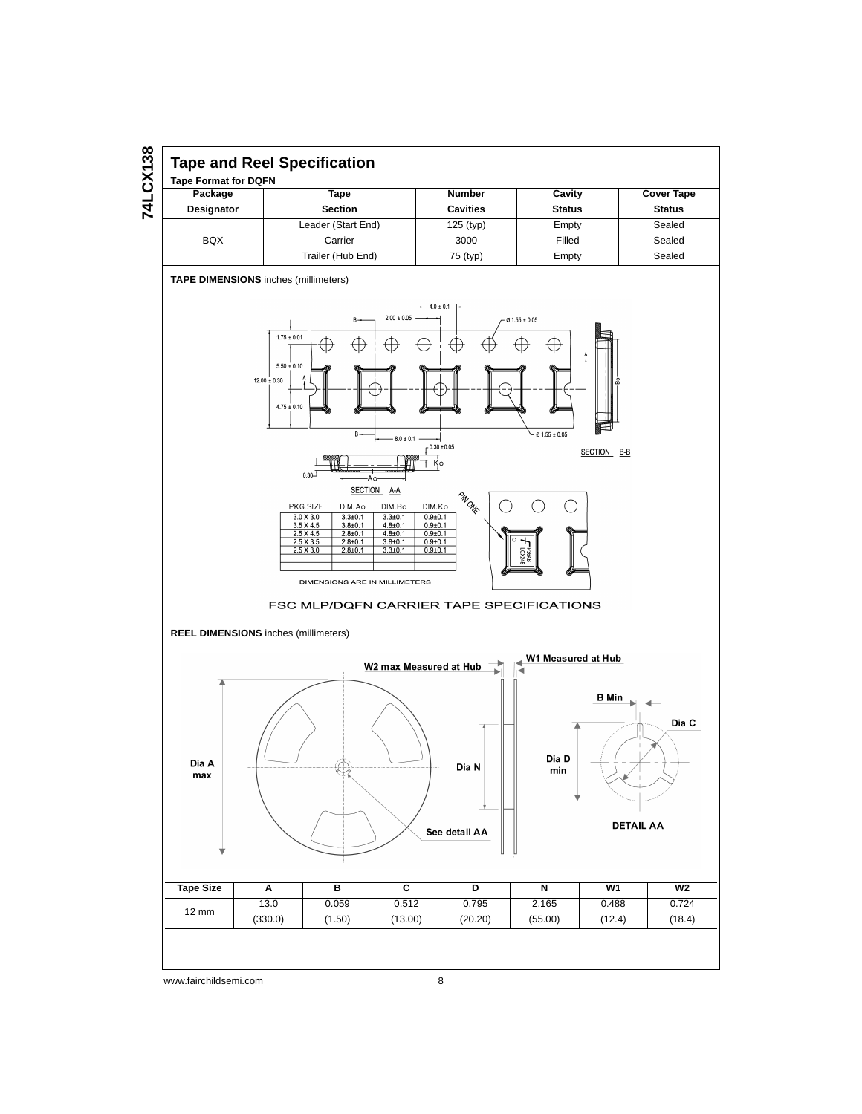

## **Tape and Reel Specification**

**Tape Format for DQFN**

| Package           | Tape               | <b>Number</b>   | Cavity        | <b>Cover Tape</b> |
|-------------------|--------------------|-----------------|---------------|-------------------|
| <b>Designator</b> | <b>Section</b>     | <b>Cavities</b> | <b>Status</b> | <b>Status</b>     |
|                   | Leader (Start End) | $125$ (typ)     | Empty         | Sealed            |
| <b>BQX</b>        | Carrier            | 3000            | Filled        | Sealed            |
|                   | Trailer (Hub End)  | 75 (typ)        | Empty         | Sealed            |

**TAPE DIMENSIONS** inches (millimeters)

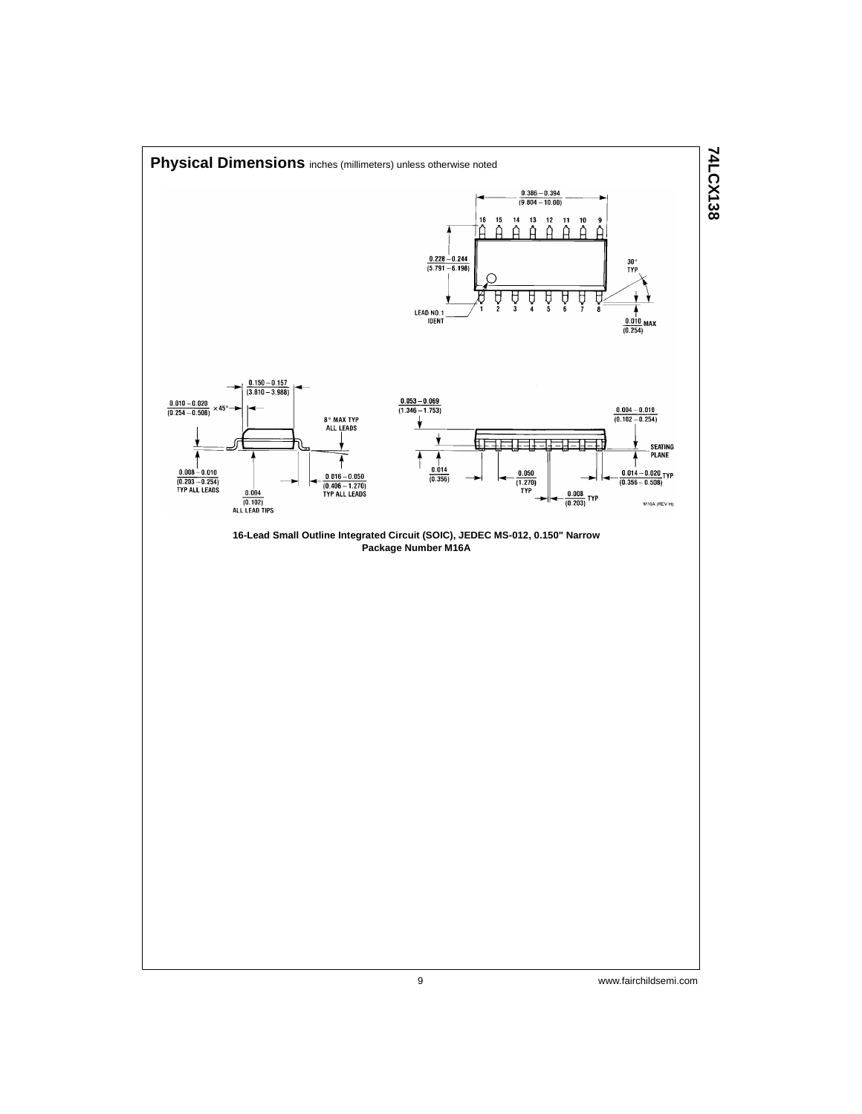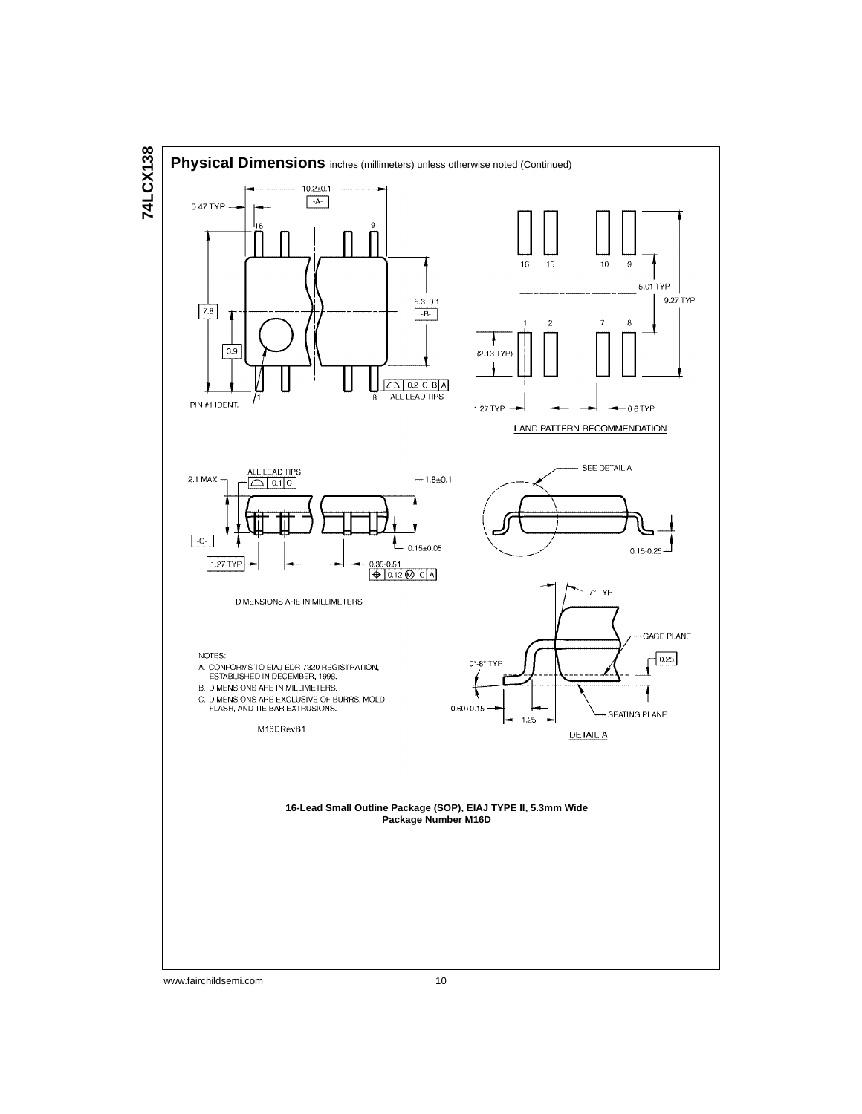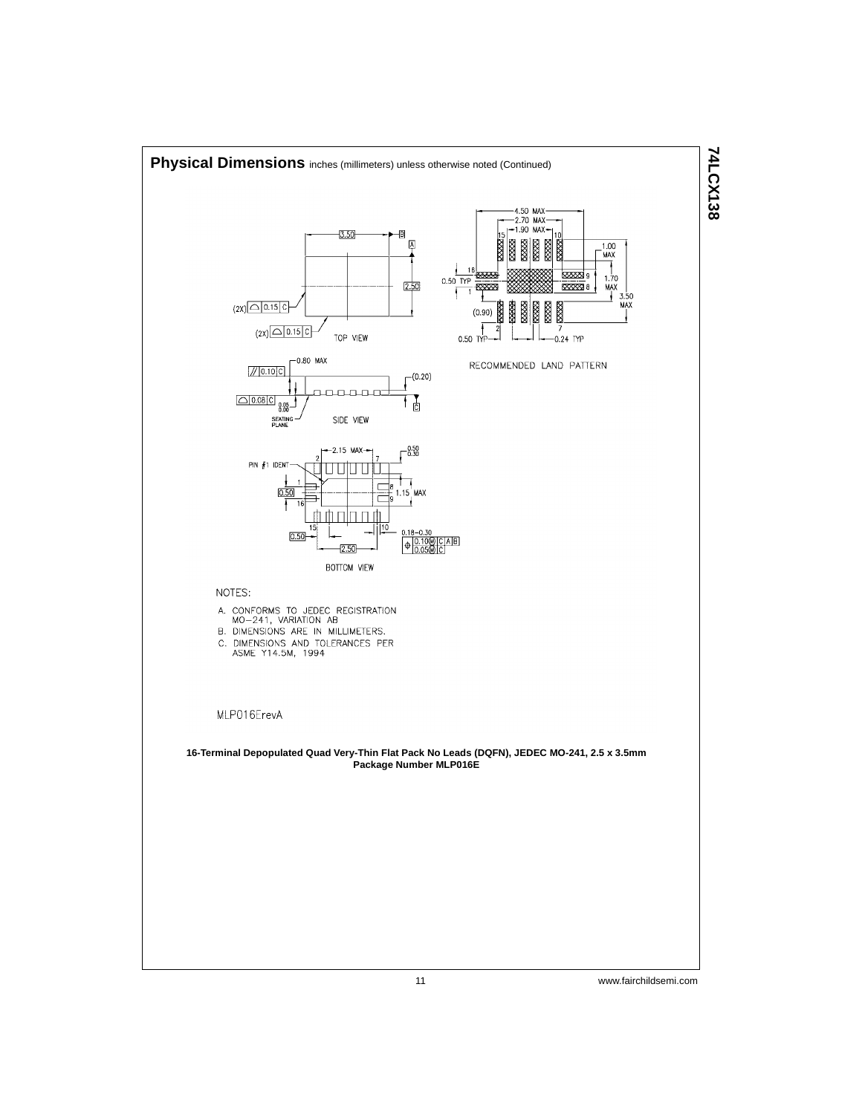

**74LCX138**